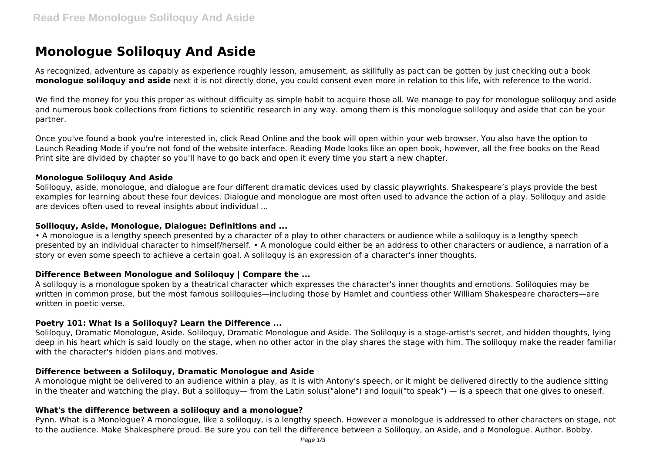# **Monologue Soliloquy And Aside**

As recognized, adventure as capably as experience roughly lesson, amusement, as skillfully as pact can be gotten by just checking out a book **monologue soliloquy and aside** next it is not directly done, you could consent even more in relation to this life, with reference to the world.

We find the money for you this proper as without difficulty as simple habit to acquire those all. We manage to pay for monologue soliloquy and aside and numerous book collections from fictions to scientific research in any way. among them is this monologue soliloquy and aside that can be your partner.

Once you've found a book you're interested in, click Read Online and the book will open within your web browser. You also have the option to Launch Reading Mode if you're not fond of the website interface. Reading Mode looks like an open book, however, all the free books on the Read Print site are divided by chapter so you'll have to go back and open it every time you start a new chapter.

#### **Monologue Soliloquy And Aside**

Soliloquy, aside, monologue, and dialogue are four different dramatic devices used by classic playwrights. Shakespeare's plays provide the best examples for learning about these four devices. Dialogue and monologue are most often used to advance the action of a play. Soliloquy and aside are devices often used to reveal insights about individual ...

## **Soliloquy, Aside, Monologue, Dialogue: Definitions and ...**

• A monologue is a lengthy speech presented by a character of a play to other characters or audience while a soliloquy is a lengthy speech presented by an individual character to himself/herself. • A monologue could either be an address to other characters or audience, a narration of a story or even some speech to achieve a certain goal. A soliloquy is an expression of a character's inner thoughts.

## **Difference Between Monologue and Soliloquy | Compare the ...**

A soliloquy is a monologue spoken by a theatrical character which expresses the character's inner thoughts and emotions. Soliloquies may be written in common prose, but the most famous soliloquies—including those by Hamlet and countless other William Shakespeare characters—are written in poetic verse.

## **Poetry 101: What Is a Soliloquy? Learn the Difference ...**

Soliloquy, Dramatic Monologue, Aside. Soliloquy, Dramatic Monologue and Aside. The Soliloquy is a stage-artist's secret, and hidden thoughts, lying deep in his heart which is said loudly on the stage, when no other actor in the play shares the stage with him. The soliloquy make the reader familiar with the character's hidden plans and motives.

## **Difference between a Soliloquy, Dramatic Monologue and Aside**

A monologue might be delivered to an audience within a play, as it is with Antony's speech, or it might be delivered directly to the audience sitting in the theater and watching the play. But a soliloquy— from the Latin solus("alone") and loqui("to speak") — is a speech that one gives to oneself.

## **What's the difference between a soliloquy and a monologue?**

Pynn. What is a Monologue? A monologue, like a soliloquy, is a lengthy speech. However a monologue is addressed to other characters on stage, not to the audience. Make Shakesphere proud. Be sure you can tell the difference between a Soliloquy, an Aside, and a Monologue. Author. Bobby.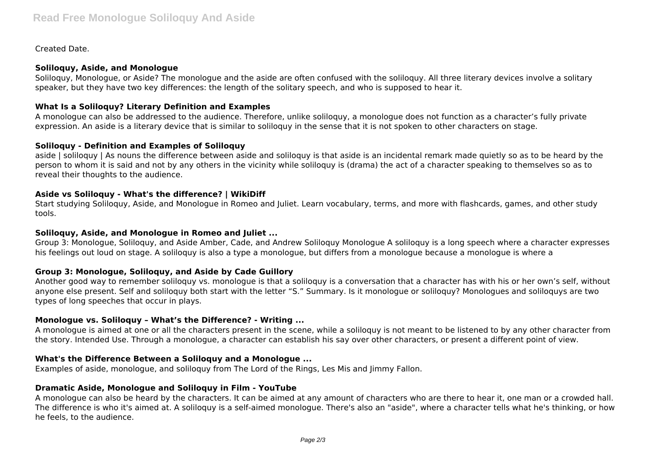Created Date.

## **Soliloquy, Aside, and Monologue**

Soliloquy, Monologue, or Aside? The monologue and the aside are often confused with the soliloquy. All three literary devices involve a solitary speaker, but they have two key differences: the length of the solitary speech, and who is supposed to hear it.

## **What Is a Soliloquy? Literary Definition and Examples**

A monologue can also be addressed to the audience. Therefore, unlike soliloquy, a monologue does not function as a character's fully private expression. An aside is a literary device that is similar to soliloquy in the sense that it is not spoken to other characters on stage.

## **Soliloquy - Definition and Examples of Soliloquy**

aside | soliloquy | As nouns the difference between aside and soliloquy is that aside is an incidental remark made quietly so as to be heard by the person to whom it is said and not by any others in the vicinity while soliloquy is (drama) the act of a character speaking to themselves so as to reveal their thoughts to the audience.

## **Aside vs Soliloquy - What's the difference? | WikiDiff**

Start studying Soliloquy, Aside, and Monologue in Romeo and Juliet. Learn vocabulary, terms, and more with flashcards, games, and other study tools.

## **Soliloquy, Aside, and Monologue in Romeo and Juliet ...**

Group 3: Monologue, Soliloquy, and Aside Amber, Cade, and Andrew Soliloquy Monologue A soliloquy is a long speech where a character expresses his feelings out loud on stage. A soliloquy is also a type a monologue, but differs from a monologue because a monologue is where a

## **Group 3: Monologue, Soliloquy, and Aside by Cade Guillory**

Another good way to remember soliloquy vs. monologue is that a soliloquy is a conversation that a character has with his or her own's self, without anyone else present. Self and soliloquy both start with the letter "S." Summary. Is it monologue or soliloquy? Monologues and soliloquys are two types of long speeches that occur in plays.

## **Monologue vs. Soliloquy – What's the Difference? - Writing ...**

A monologue is aimed at one or all the characters present in the scene, while a soliloquy is not meant to be listened to by any other character from the story. Intended Use. Through a monologue, a character can establish his say over other characters, or present a different point of view.

## **What's the Difference Between a Soliloquy and a Monologue ...**

Examples of aside, monologue, and soliloquy from The Lord of the Rings, Les Mis and Jimmy Fallon.

## **Dramatic Aside, Monologue and Soliloquy in Film - YouTube**

A monologue can also be heard by the characters. It can be aimed at any amount of characters who are there to hear it, one man or a crowded hall. The difference is who it's aimed at. A soliloquy is a self-aimed monologue. There's also an "aside", where a character tells what he's thinking, or how he feels, to the audience.